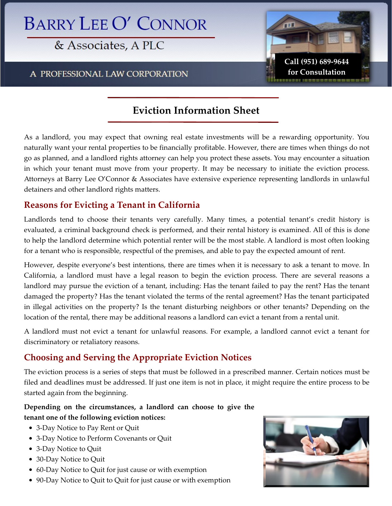# **BARRY LEE O' CONNOR**

& Associates, A PLC

A PROFESSIONAL LAW CORPORATION



## **Eviction Information Sheet**

As a landlord, you may expect that owning real estate investments will be a rewarding opportunity. You naturally want your rental properties to be financially profitable. However, there are times when things do not go as planned, and a landlord rights attorney can help you protect these assets. You may encounter a situation in which your tenant must move from your property. It may be necessary to initiate the eviction process. Attorneys at Barry Lee O'Connor & Associates have extensive experience representing landlords in unlawful detainers and other landlord rights matters.

#### **Reasons for Evicting a Tenant in California**

Landlords tend to choose their tenants very carefully. Many times, a potential tenant's credit history is evaluated, a criminal background check is performed, and their rental history is examined. All of this is done to help the landlord determine which potential renter will be the most stable. A landlord is most often looking for a tenant who is responsible, respectful of the premises, and able to pay the expected amount of rent.

However, despite everyone's best intentions, there are times when it is necessary to ask a tenant to move. In California, a landlord must have a legal reason to begin the eviction process. There are several reasons a landlord may pursue the eviction of a tenant, including: Has the tenant failed to pay the rent? Has the tenant damaged the property? Has the tenant violated the terms of the rental agreement? Has the tenant participated in illegal activities on the property? Is the tenant disturbing neighbors or other tenants? Depending on the location of the rental, there may be additional reasons a landlord can evict a tenant from a rental unit.

A landlord must not evict a tenant for unlawful reasons. For example, a landlord cannot evict a tenant for discriminatory or retaliatory reasons.

### **Choosing and Serving the Appropriate Eviction Notices**

The eviction process is a series of steps that must be followed in a prescribed manner. Certain notices must be filed and deadlines must be addressed. If just one item is not in place, it might require the entire process to be started again from the beginning.

#### **Depending on the circumstances, a landlord can choose to give the tenant one of the following eviction notices:**

- 3-Day Notice to Pay Rent or Quit
- 3-Day Notice to Perform Covenants or Quit
- 3-Day Notice to Quit
- 30-Day Notice to Quit
- 60-Day Notice to Quit for just cause or with exemption
- 90-Day Notice to Quit to Quit for just cause or with exemption